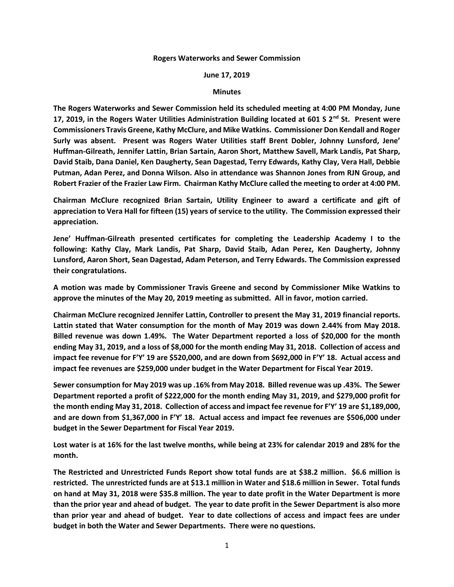## **Rogers Waterworks and Sewer Commission**

## **June 17, 2019**

## **Minutes**

**The Rogers Waterworks and Sewer Commission held its scheduled meeting at 4:00 PM Monday, June 17, 2019, in the Rogers Water Utilities Administration Building located at 601 S 2nd St. Present were Commissioners Travis Greene, Kathy McClure, and Mike Watkins. Commissioner Don Kendall and Roger Surly was absent. Present was Rogers Water Utilities staff Brent Dobler, Johnny Lunsford, Jene' Huffman-Gilreath, Jennifer Lattin, Brian Sartain, Aaron Short, Matthew Savell, Mark Landis, Pat Sharp, David Staib, Dana Daniel, Ken Daugherty, Sean Dagestad, Terry Edwards, Kathy Clay, Vera Hall, Debbie Putman, Adan Perez, and Donna Wilson. Also in attendance was Shannon Jones from RJN Group, and Robert Frazier of the Frazier Law Firm. Chairman Kathy McClure called the meeting to order at 4:00 PM.**

**Chairman McClure recognized Brian Sartain, Utility Engineer to award a certificate and gift of appreciation to Vera Hall for fifteen (15) years of service to the utility. The Commission expressed their appreciation.**

**Jene' Huffman-Gilreath presented certificates for completing the Leadership Academy I to the following: Kathy Clay, Mark Landis, Pat Sharp, David Staib, Adan Perez, Ken Daugherty, Johnny Lunsford, Aaron Short, Sean Dagestad, Adam Peterson, and Terry Edwards. The Commission expressed their congratulations.**

**A motion was made by Commissioner Travis Greene and second by Commissioner Mike Watkins to approve the minutes of the May 20, 2019 meeting as submitted. All in favor, motion carried.**

**Chairman McClure recognized Jennifer Lattin, Controller to present the May 31, 2019 financial reports. Lattin stated that Water consumption for the month of May 2019 was down 2.44% from May 2018. Billed revenue was down 1.49%. The Water Department reported a loss of \$20,000 for the month ending May 31, 2019, and a loss of \$8,000 for the month ending May 31, 2018. Collection of access and impact fee revenue for F'Y' 19 are \$520,000, and are down from \$692,000 in F'Y' 18. Actual access and impact fee revenues are \$259,000 under budget in the Water Department for Fiscal Year 2019.**

**Sewer consumption for May 2019 was up .16% from May 2018. Billed revenue was up .43%. The Sewer Department reported a profit of \$222,000 for the month ending May 31, 2019, and \$279,000 profit for the month ending May 31, 2018. Collection of access and impact fee revenue for F'Y' 19 are \$1,189,000, and are down from \$1,367,000 in F'Y' 18. Actual access and impact fee revenues are \$506,000 under budget in the Sewer Department for Fiscal Year 2019.**

**Lost water is at 16% for the last twelve months, while being at 23% for calendar 2019 and 28% for the month.**

**The Restricted and Unrestricted Funds Report show total funds are at \$38.2 million. \$6.6 million is restricted. The unrestricted funds are at \$13.1 million in Water and \$18.6 million in Sewer. Total funds on hand at May 31, 2018 were \$35.8 million. The year to date profit in the Water Department is more than the prior year and ahead of budget. The year to date profit in the Sewer Department is also more than prior year and ahead of budget. Year to date collections of access and impact fees are under budget in both the Water and Sewer Departments. There were no questions.**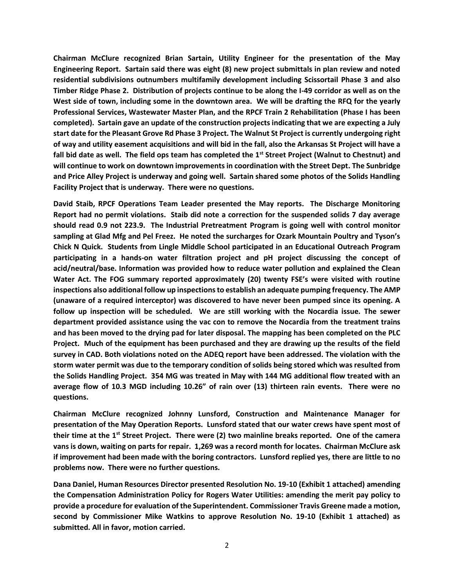**Chairman McClure recognized Brian Sartain, Utility Engineer for the presentation of the May Engineering Report. Sartain said there was eight (8) new project submittals in plan review and noted residential subdivisions outnumbers multifamily development including Scissortail Phase 3 and also Timber Ridge Phase 2. Distribution of projects continue to be along the I-49 corridor as well as on the West side of town, including some in the downtown area. We will be drafting the RFQ for the yearly Professional Services, Wastewater Master Plan, and the RPCF Train 2 Rehabilitation (Phase I has been completed). Sartain gave an update of the construction projects indicating that we are expecting a July start date for the Pleasant Grove Rd Phase 3 Project. The Walnut St Project is currently undergoing right of way and utility easement acquisitions and will bid in the fall, also the Arkansas St Project will have a fall bid date as well. The field ops team has completed the 1st Street Project (Walnut to Chestnut) and will continue to work on downtown improvements in coordination with the Street Dept. The Sunbridge and Price Alley Project is underway and going well. Sartain shared some photos of the Solids Handling Facility Project that is underway. There were no questions.**

**David Staib, RPCF Operations Team Leader presented the May reports. The Discharge Monitoring Report had no permit violations. Staib did note a correction for the suspended solids 7 day average should read 0.9 not 223.9. The Industrial Pretreatment Program is going well with control monitor sampling at Glad Mfg and Pel Freez. He noted the surcharges for Ozark Mountain Poultry and Tyson's Chick N Quick. Students from Lingle Middle School participated in an Educational Outreach Program participating in a hands-on water filtration project and pH project discussing the concept of acid/neutral/base. Information was provided how to reduce water pollution and explained the Clean Water Act. The FOG summary reported approximately (20) twenty FSE's were visited with routine inspections also additional follow up inspections to establish an adequate pumping frequency. The AMP (unaware of a required interceptor) was discovered to have never been pumped since its opening. A follow up inspection will be scheduled. We are still working with the Nocardia issue. The sewer department provided assistance using the vac con to remove the Nocardia from the treatment trains and has been moved to the drying pad for later disposal. The mapping has been completed on the PLC Project. Much of the equipment has been purchased and they are drawing up the results of the field survey in CAD. Both violations noted on the ADEQ report have been addressed. The violation with the storm water permit was due to the temporary condition of solids being stored which was resulted from the Solids Handling Project. 354 MG was treated in May with 144 MG additional flow treated with an average flow of 10.3 MGD including 10.26" of rain over (13) thirteen rain events. There were no questions.**

**Chairman McClure recognized Johnny Lunsford, Construction and Maintenance Manager for presentation of the May Operation Reports. Lunsford stated that our water crews have spent most of their time at the 1st Street Project. There were (2) two mainline breaks reported. One of the camera vans is down, waiting on parts for repair. 1,269 was a record month for locates. Chairman McClure ask if improvement had been made with the boring contractors. Lunsford replied yes, there are little to no problems now. There were no further questions.**

**Dana Daniel, Human Resources Director presented Resolution No. 19-10 (Exhibit 1 attached) amending the Compensation Administration Policy for Rogers Water Utilities: amending the merit pay policy to provide a procedure for evaluation of the Superintendent. Commissioner Travis Greene made a motion, second by Commissioner Mike Watkins to approve Resolution No. 19-10 (Exhibit 1 attached) as submitted. All in favor, motion carried.**